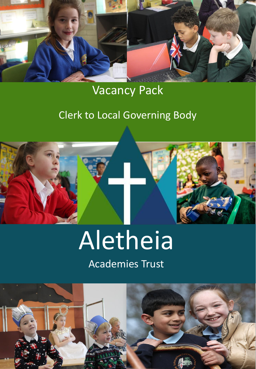

# Vacancy Pack

# Clerk to Local Governing Body



# Aletheia

# Academies Trust

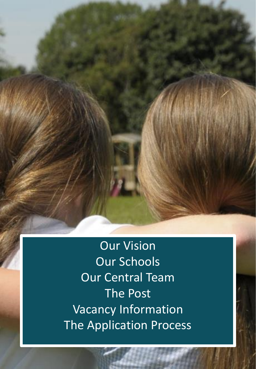Our Vision Our Schools Our Central Team The Post Vacancy Information The Application Process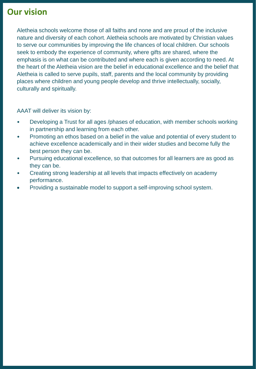## **Our vision**

Aletheia schools welcome those of all faiths and none and are proud of the inclusive nature and diversity of each cohort. Aletheia schools are motivated by Christian values to serve our communities by improving the life chances of local children. Our schools seek to embody the experience of community, where gifts are shared, where the emphasis is on what can be contributed and where each is given according to need. At the heart of the Aletheia vision are the belief in educational excellence and the belief that Aletheia is called to serve pupils, staff, parents and the local community by providing places where children and young people develop and thrive intellectually, socially, culturally and spiritually.

AAAT will deliver its vision by:

- Developing a Trust for all ages /phases of education, with member schools working in partnership and learning from each other.
- Promoting an ethos based on a belief in the value and potential of every student to achieve excellence academically and in their wider studies and become fully the best person they can be.
- Pursuing educational excellence, so that outcomes for all learners are as good as they can be.
- Creating strong leadership at all levels that impacts effectively on academy performance.
- Providing a sustainable model to support a self-improving school system.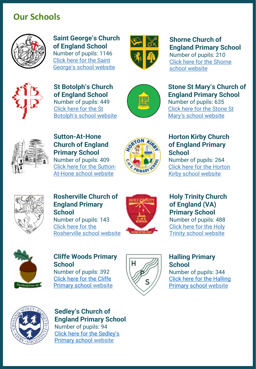## **Our Schools**



**Saint George's Church of England School**  Number of pupils: 1146 Click here for the Saint

[George's school website](https://www.saintgeorgescofe.kent.sch.uk/school-i…/lettings/)



## **Shorne Church of England Primary School**

Number of pupils: 210 [Click here for the Shorne](https://www.shorne.kent.sch.uk/)  school website



**St Botolph's Church of England School**  Number of pupils: 449 Click here for the St [Botolph's school website](http://st-botolphs.kent.sch.uk/)



#### **Stone St Mary's Church of England Primary School**

Number of pupils: 635 [Click here for the Stone St](https://www.stone.kent.sch.uk/) Mary's school website



**Sutton-At-Hone Church of England Primary School**  Number of pupils: 409 [Click here for the Sutton-](https://sutton-at-hone.kent.sch.uk/)At-Hone school website



#### **Horton Kirby Church of England Primary School**

Number of pupils: 264 [Click here for the Horton](https://www.hortonkirby.kent.sch.uk/)  Kirby school website



#### **Rosherville Church of England Primary School**

Number of pupils: 143 Click here for the [Rosherville school website](http://rosherville.kent.sch.uk/)



### **Holy Trinity Church of England (VA) Primary School**

Number of pupils: 488 Click here for the Holy [Trinity school website](https://www.holytrinity-gravesend.kent.sch.uk/page/?title=Contact+Us&pid=2)



#### **Cliffe Woods Primary School**

Number of pupils: 392 [Click here for the Cliffe](https://www.cliffewoods.medway.sch.uk/)  Primary school website



#### **Halling Primary School**

Number of pupils: 344 [Click here for the Halling](https://www.halling.medway.sch.uk/)  Primary school website



**Sedley's Church of England Primary School** Number of pupils: 94 [Click here for the Sedley's](https://www.sedleys.kent.sch.uk/) Primary school website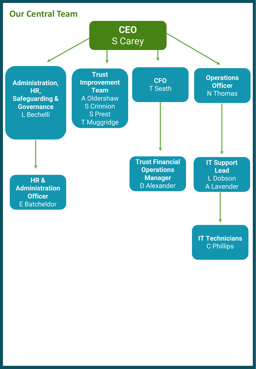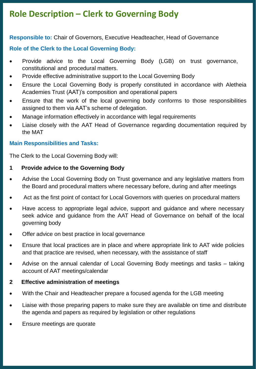## **Role Description – Clerk to Governing Body**

**Responsible to:** Chair of Governors, Executive Headteacher, Head of Governance

#### **Role of the Clerk to the Local Governing Body:**

- Provide advice to the Local Governing Body (LGB) on trust governance, constitutional and procedural matters.
- Provide effective administrative support to the Local Governing Body
- Ensure the Local Governing Body is properly constituted in accordance with Aletheia Academies Trust (AAT)'s composition and operational papers
- Ensure that the work of the local governing body conforms to those responsibilities assigned to them via AAT's scheme of delegation.
- Manage information effectively in accordance with legal requirements
- Liaise closely with the AAT Head of Governance regarding documentation required by the MAT

#### **Main Responsibilities and Tasks:**

The Clerk to the Local Governing Body will:

- **1 Provide advice to the Governing Body**
- Advise the Local Governing Body on Trust governance and any legislative matters from the Board and procedural matters where necessary before, during and after meetings
- Act as the first point of contact for Local Governors with queries on procedural matters
- Have access to appropriate legal advice, support and guidance and where necessary seek advice and guidance from the AAT Head of Governance on behalf of the local governing body
- Offer advice on best practice in local governance
- Ensure that local practices are in place and where appropriate link to AAT wide policies and that practice are revised, when necessary, with the assistance of staff
- Advise on the annual calendar of Local Governing Body meetings and tasks taking account of AAT meetings/calendar

#### **2 Effective administration of meetings**

- With the Chair and Headteacher prepare a focused agenda for the LGB meeting
- Liaise with those preparing papers to make sure they are available on time and distribute the agenda and papers as required by legislation or other regulations
- Ensure meetings are quorate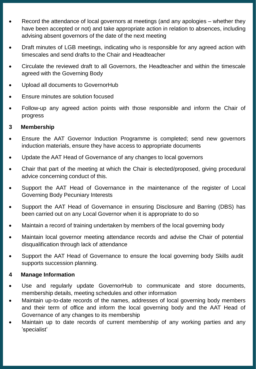- Record the attendance of local governors at meetings (and any apologies whether they have been accepted or not) and take appropriate action in relation to absences, including advising absent governors of the date of the next meeting
- Draft minutes of LGB meetings, indicating who is responsible for any agreed action with timescales and send drafts to the Chair and Headteacher
- Circulate the reviewed draft to all Governors, the Headteacher and within the timescale agreed with the Governing Body
- Upload all documents to GovernorHub
- Ensure minutes are solution focused
- Follow-up any agreed action points with those responsible and inform the Chair of progress

#### **3 Membership**

- Ensure the AAT Governor Induction Programme is completed; send new governors induction materials, ensure they have access to appropriate documents
- Update the AAT Head of Governance of any changes to local governors
- Chair that part of the meeting at which the Chair is elected/proposed, giving procedural advice concerning conduct of this.
- Support the AAT Head of Governance in the maintenance of the register of Local Governing Body Pecuniary Interests
- Support the AAT Head of Governance in ensuring Disclosure and Barring (DBS) has been carried out on any Local Governor when it is appropriate to do so
- Maintain a record of training undertaken by members of the local governing body
- Maintain local governor meeting attendance records and advise the Chair of potential disqualification through lack of attendance
- Support the AAT Head of Governance to ensure the local governing body Skills audit supports succession planning.

#### **4 Manage Information**

- Use and regularly update GovernorHub to communicate and store documents, membership details, meeting schedules and other information
- Maintain up-to-date records of the names, addresses of local governing body members and their term of office and inform the local governing body and the AAT Head of Governance of any changes to its membership
- Maintain up to date records of current membership of any working parties and any 'specialist'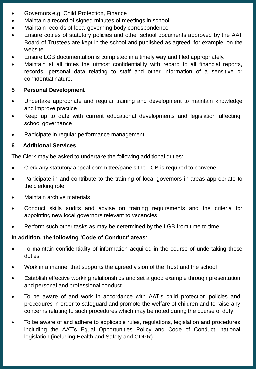- Governors e.g. Child Protection, Finance
- Maintain a record of signed minutes of meetings in school
- Maintain records of local governing body correspondence
- Ensure copies of statutory policies and other school documents approved by the AAT Board of Trustees are kept in the school and published as agreed, for example, on the website
- Ensure LGB documentation is completed in a timely way and filed appropriately.
- Maintain at all times the utmost confidentiality with regard to all financial reports, records, personal data relating to staff and other information of a sensitive or confidential nature.

#### **5 Personal Development**

- Undertake appropriate and regular training and development to maintain knowledge and improve practice
- Keep up to date with current educational developments and legislation affecting school governance
- Participate in regular performance management

#### **6 Additional Services**

The Clerk may be asked to undertake the following additional duties:

- Clerk any statutory appeal committee/panels the LGB is required to convene
- Participate in and contribute to the training of local governors in areas appropriate to the clerking role
- Maintain archive materials
- Conduct skills audits and advise on training requirements and the criteria for appointing new local governors relevant to vacancies
- Perform such other tasks as may be determined by the LGB from time to time

#### **In addition, the following 'Code of Conduct' areas**:

- To maintain confidentiality of information acquired in the course of undertaking these duties
- Work in a manner that supports the agreed vision of the Trust and the school
- Establish effective working relationships and set a good example through presentation and personal and professional conduct
- To be aware of and work in accordance with AAT's child protection policies and procedures in order to safeguard and promote the welfare of children and to raise any concerns relating to such procedures which may be noted during the course of duty
- To be aware of and adhere to applicable rules, regulations, legislation and procedures including the AAT's Equal Opportunities Policy and Code of Conduct, national legislation (including Health and Safety and GDPR)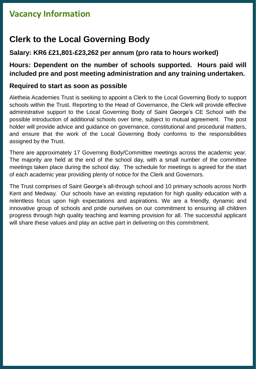## **Vacancy Information**

## **Clerk to the Local Governing Body**

#### **Salary: KR6 £21,801-£23,262 per annum (pro rata to hours worked)**

#### **Hours: Dependent on the number of schools supported. Hours paid will included pre and post meeting administration and any training undertaken.**

#### **Required to start as soon as possible**

Aletheia Academies Trust is seeking to appoint a Clerk to the Local Governing Body to support schools within the Trust. Reporting to the Head of Governance, the Clerk will provide effective administrative support to the Local Governing Body of Saint George's CE School with the possible introduction of additional schools over time, subject to mutual agreement. The post holder will provide advice and guidance on governance, constitutional and procedural matters, and ensure that the work of the Local Governing Body conforms to the responsibilities assigned by the Trust.

There are approximately 17 Governing Body/Committee meetings across the academic year. The majority are held at the end of the school day, with a small number of the committee meetings taken place during the school day. The schedule for meetings is agreed for the start of each academic year providing plenty of notice for the Clerk and Governors.

The Trust comprises of Saint George's all-through school and 10 primary schools across North Kent and Medway. Our schools have an existing reputation for high quality education with a relentless focus upon high expectations and aspirations. We are a friendly, dynamic and innovative group of schools and pride ourselves on our commitment to ensuring all children progress through high quality teaching and learning provision for all. The successful applicant will share these values and play an active part in delivering on this commitment.